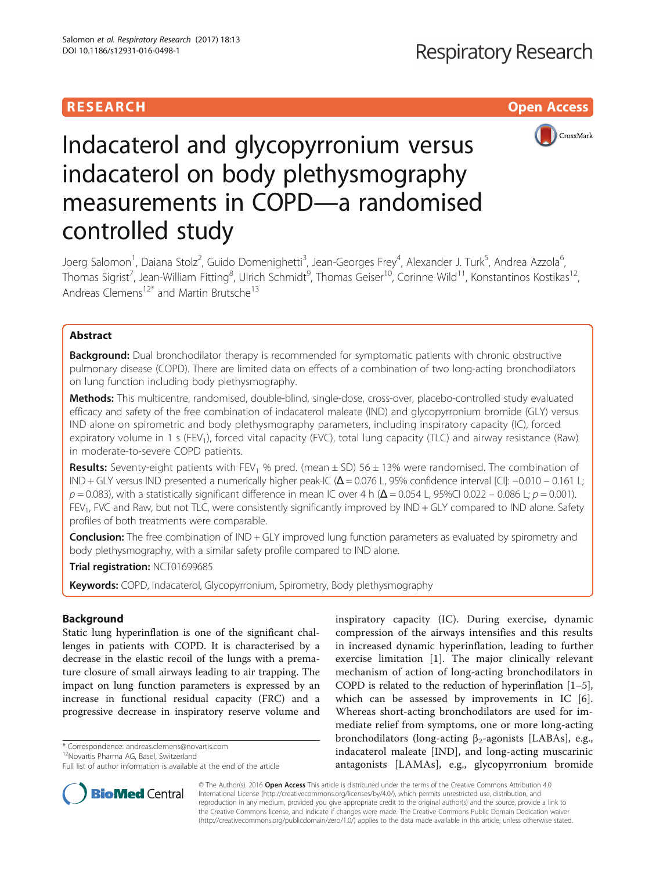## **RESEARCH CHILD CONTROL** CONTROL CONTROL CONTROL CONTROL CONTROL CONTROL CONTROL CONTROL CONTROL CONTROL CONTROL CONTROL CONTROL CONTROL CONTROL CONTROL CONTROL CONTROL CONTROL CONTROL CONTROL CONTROL CONTROL CONTROL CONTR



# Indacaterol and glycopyrronium versus indacaterol on body plethysmography measurements in COPD—a randomised controlled study

Joerg Salomon<sup>1</sup>, Daiana Stolz<sup>2</sup>, Guido Domenighetti<sup>3</sup>, Jean-Georges Frey<sup>4</sup>, Alexander J. Turk<sup>5</sup>, Andrea Azzola<sup>6</sup> י<br>, Thomas Sigrist<sup>7</sup>, Jean-William Fitting<sup>8</sup>, Ulrich Schmidt<sup>9</sup>, Thomas Geiser<sup>10</sup>, Corinne Wild<sup>11</sup>, Konstantinos Kostikas<sup>12</sup>, Andreas Clemens<sup>12\*</sup> and Martin Brutsche<sup>13</sup>

## Abstract

**Background:** Dual bronchodilator therapy is recommended for symptomatic patients with chronic obstructive pulmonary disease (COPD). There are limited data on effects of a combination of two long-acting bronchodilators on lung function including body plethysmography.

Methods: This multicentre, randomised, double-blind, single-dose, cross-over, placebo-controlled study evaluated efficacy and safety of the free combination of indacaterol maleate (IND) and glycopyrronium bromide (GLY) versus IND alone on spirometric and body plethysmography parameters, including inspiratory capacity (IC), forced expiratory volume in 1 s (FEV<sub>1</sub>), forced vital capacity (FVC), total lung capacity (TLC) and airway resistance (Raw) in moderate-to-severe COPD patients.

**Results:** Seventy-eight patients with FEV<sub>1</sub> % pred. (mean  $\pm$  SD) 56  $\pm$  13% were randomised. The combination of IND + GLY versus IND presented a numerically higher peak-IC (Δ = 0.076 L, 95% confidence interval [CI]: −0.010 – 0.161 L;  $p = 0.083$ ), with a statistically significant difference in mean IC over 4 h ( $\Delta$  = 0.054 L, 95%CI 0.022 – 0.086 L;  $p = 0.001$ ). FEV<sub>1</sub>, FVC and Raw, but not TLC, were consistently significantly improved by IND + GLY compared to IND alone. Safety profiles of both treatments were comparable.

**Conclusion:** The free combination of IND + GLY improved lung function parameters as evaluated by spirometry and body plethysmography, with a similar safety profile compared to IND alone.

Trial registration: [NCT01699685](https://clinicaltrials.gov/ct2/show/NCT01699685)

Keywords: COPD, Indacaterol, Glycopyrronium, Spirometry, Body plethysmography

## Background

Static lung hyperinflation is one of the significant challenges in patients with COPD. It is characterised by a decrease in the elastic recoil of the lungs with a premature closure of small airways leading to air trapping. The impact on lung function parameters is expressed by an increase in functional residual capacity (FRC) and a progressive decrease in inspiratory reserve volume and

\* Correspondence: [andreas.clemens@novartis.com](mailto:andreas.clemens@novartis.com) 12Novartis Pharma AG, Basel, Switzerland

Full list of author information is available at the end of the article



**BioMed Central** 

© The Author(s). 2016 Open Access This article is distributed under the terms of the Creative Commons Attribution 4.0 International License [\(http://creativecommons.org/licenses/by/4.0/](http://creativecommons.org/licenses/by/4.0/)), which permits unrestricted use, distribution, and reproduction in any medium, provided you give appropriate credit to the original author(s) and the source, provide a link to the Creative Commons license, and indicate if changes were made. The Creative Commons Public Domain Dedication waiver [\(http://creativecommons.org/publicdomain/zero/1.0/](http://creativecommons.org/publicdomain/zero/1.0/)) applies to the data made available in this article, unless otherwise stated.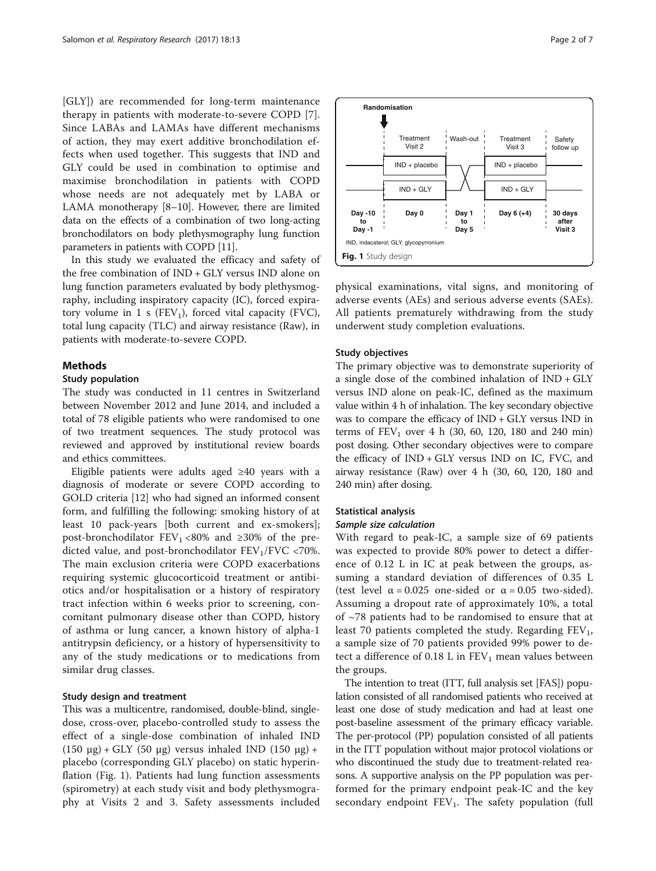[GLY]) are recommended for long-term maintenance therapy in patients with moderate-to-severe COPD [\[7](#page-6-0)]. Since LABAs and LAMAs have different mechanisms of action, they may exert additive bronchodilation effects when used together. This suggests that IND and GLY could be used in combination to optimise and maximise bronchodilation in patients with COPD whose needs are not adequately met by LABA or LAMA monotherapy [\[8](#page-6-0)–[10\]](#page-6-0). However, there are limited data on the effects of a combination of two long-acting bronchodilators on body plethysmography lung function parameters in patients with COPD [[11\]](#page-6-0).

In this study we evaluated the efficacy and safety of the free combination of IND + GLY versus IND alone on lung function parameters evaluated by body plethysmography, including inspiratory capacity (IC), forced expiratory volume in 1 s ( $FEV<sub>1</sub>$ ), forced vital capacity (FVC), total lung capacity (TLC) and airway resistance (Raw), in patients with moderate-to-severe COPD.

## Methods

## Study population

The study was conducted in 11 centres in Switzerland between November 2012 and June 2014, and included a total of 78 eligible patients who were randomised to one of two treatment sequences. The study protocol was reviewed and approved by institutional review boards and ethics committees.

Eligible patients were adults aged ≥40 years with a diagnosis of moderate or severe COPD according to GOLD criteria [\[12](#page-6-0)] who had signed an informed consent form, and fulfilling the following: smoking history of at least 10 pack-years [both current and ex-smokers]; post-bronchodilator  $FEV_1 < 80\%$  and ≥30% of the predicted value, and post-bronchodilator  $FEV<sub>1</sub>/FVC$  <70%. The main exclusion criteria were COPD exacerbations requiring systemic glucocorticoid treatment or antibiotics and/or hospitalisation or a history of respiratory tract infection within 6 weeks prior to screening, concomitant pulmonary disease other than COPD, history of asthma or lung cancer, a known history of alpha-1 antitrypsin deficiency, or a history of hypersensitivity to any of the study medications or to medications from similar drug classes.

## Study design and treatment

This was a multicentre, randomised, double-blind, singledose, cross-over, placebo-controlled study to assess the effect of a single-dose combination of inhaled IND (150 μg) + GLY (50 μg) versus inhaled IND (150 μg) + placebo (corresponding GLY placebo) on static hyperinflation (Fig. 1). Patients had lung function assessments (spirometry) at each study visit and body plethysmography at Visits 2 and 3. Safety assessments included



**Treatment** Visit 3

Wash-out | Treatment Safety

adverse events (AEs) and serious adverse events (SAEs). All patients prematurely withdrawing from the study underwent study completion evaluations.

## Study objectives

**Randomisation**

**Treatment** Visit 2

The primary objective was to demonstrate superiority of a single dose of the combined inhalation of IND + GLY versus IND alone on peak-IC, defined as the maximum value within 4 h of inhalation. The key secondary objective was to compare the efficacy of  $IND + GLY$  versus  $IND$  in terms of  $FEV_1$  over 4 h (30, 60, 120, 180 and 240 min) post dosing. Other secondary objectives were to compare the efficacy of  $IND + GLY$  versus  $IND$  on IC, FVC, and airway resistance (Raw) over 4 h (30, 60, 120, 180 and 240 min) after dosing.

## Statistical analysis

## Sample size calculation

With regard to peak-IC, a sample size of 69 patients was expected to provide 80% power to detect a difference of 0.12 L in IC at peak between the groups, assuming a standard deviation of differences of 0.35 L (test level  $\alpha = 0.025$  one-sided or  $\alpha = 0.05$  two-sided). Assuming a dropout rate of approximately 10%, a total of  $\sim$ 78 patients had to be randomised to ensure that at least 70 patients completed the study. Regarding  $FEV_1$ , a sample size of 70 patients provided 99% power to detect a difference of 0.18 L in  $FEV<sub>1</sub>$  mean values between the groups.

The intention to treat (ITT, full analysis set [FAS]) population consisted of all randomised patients who received at least one dose of study medication and had at least one post-baseline assessment of the primary efficacy variable. The per-protocol (PP) population consisted of all patients in the ITT population without major protocol violations or who discontinued the study due to treatment-related reasons. A supportive analysis on the PP population was performed for the primary endpoint peak-IC and the key secondary endpoint  $FEV_1$ . The safety population (full

follow up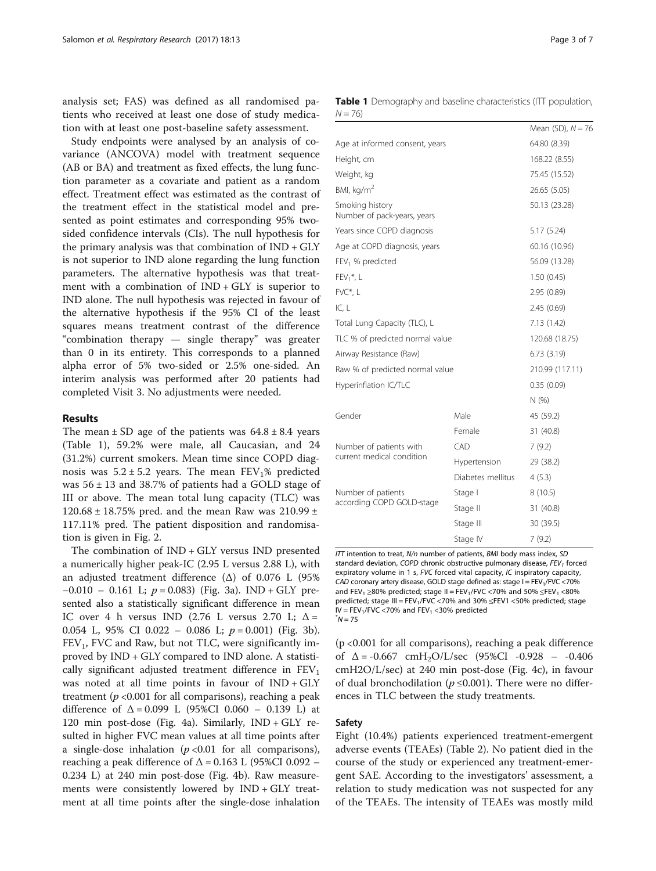analysis set; FAS) was defined as all randomised patients who received at least one dose of study medication with at least one post-baseline safety assessment.

Study endpoints were analysed by an analysis of covariance (ANCOVA) model with treatment sequence (AB or BA) and treatment as fixed effects, the lung function parameter as a covariate and patient as a random effect. Treatment effect was estimated as the contrast of the treatment effect in the statistical model and presented as point estimates and corresponding 95% twosided confidence intervals (CIs). The null hypothesis for the primary analysis was that combination of IND + GLY is not superior to IND alone regarding the lung function parameters. The alternative hypothesis was that treatment with a combination of  $IND + GLY$  is superior to IND alone. The null hypothesis was rejected in favour of the alternative hypothesis if the 95% CI of the least squares means treatment contrast of the difference "combination therapy — single therapy" was greater than 0 in its entirety. This corresponds to a planned alpha error of 5% two-sided or 2.5% one-sided. An interim analysis was performed after 20 patients had completed Visit 3. No adjustments were needed.

## Results

The mean  $\pm$  SD age of the patients was  $64.8 \pm 8.4$  years (Table 1), 59.2% were male, all Caucasian, and 24 (31.2%) current smokers. Mean time since COPD diagnosis was  $5.2 \pm 5.2$  years. The mean FEV<sub>1</sub>% predicted was  $56 \pm 13$  and 38.7% of patients had a GOLD stage of III or above. The mean total lung capacity (TLC) was 120.68  $\pm$  18.75% pred. and the mean Raw was 210.99  $\pm$ 117.11% pred. The patient disposition and randomisation is given in Fig. [2.](#page-3-0)

The combination of IND + GLY versus IND presented a numerically higher peak-IC (2.95 L versus 2.88 L), with an adjusted treatment difference ( $Δ$ ) of 0.076 L (95%  $-0.010 - 0.161$  L;  $p = 0.083$ ) (Fig. [3a](#page-3-0)). IND + GLY presented also a statistically significant difference in mean IC over 4 h versus IND (2.76 L versus 2.70 L;  $\Delta =$ 0.054 L, 95% CI 0.022 – 0.086 L;  $p = 0.001$ ) (Fig. [3b](#page-3-0)).  $FEV<sub>1</sub>$ , FVC and Raw, but not TLC, were significantly improved by IND + GLY compared to IND alone. A statistically significant adjusted treatment difference in  $FEV<sub>1</sub>$ was noted at all time points in favour of IND + GLY treatment ( $p$  <0.001 for all comparisons), reaching a peak difference of  $\Delta = 0.099$  L (95%CI 0.060 – 0.139 L) at 120 min post-dose (Fig. [4a](#page-4-0)). Similarly, IND + GLY resulted in higher FVC mean values at all time points after a single-dose inhalation  $(p < 0.01$  for all comparisons), reaching a peak difference of  $\Delta$  = 0.163 L (95%CI 0.092 – 0.234 L) at 240 min post-dose (Fig. [4b\)](#page-4-0). Raw measurements were consistently lowered by IND + GLY treatment at all time points after the single-dose inhalation

|          | <b>Table 1</b> Demography and baseline characteristics (ITT population, |  |  |  |
|----------|-------------------------------------------------------------------------|--|--|--|
| $N = 76$ |                                                                         |  |  |  |

|                                                |                                | Mean (SD), $N = 76$ |  |
|------------------------------------------------|--------------------------------|---------------------|--|
|                                                | Age at informed consent, years |                     |  |
| Height, cm                                     | 168.22 (8.55)                  |                     |  |
| Weight, kg                                     | 75.45 (15.52)                  |                     |  |
| BMI, kg/m <sup>2</sup>                         | 26.65 (5.05)                   |                     |  |
| Smoking history<br>Number of pack-years, years |                                | 50.13 (23.28)       |  |
| Years since COPD diagnosis                     | 5.17(5.24)                     |                     |  |
| Age at COPD diagnosis, years                   |                                | 60.16 (10.96)       |  |
| FEV <sub>1</sub> % predicted                   |                                | 56.09 (13.28)       |  |
| $FEV1$ *, L                                    |                                | 1.50(0.45)          |  |
| FVC*, L                                        | 2.95 (0.89)                    |                     |  |
| IC, L                                          | 2.45(0.69)                     |                     |  |
| Total Lung Capacity (TLC), L                   | 7.13(1.42)                     |                     |  |
| TLC % of predicted normal value                | 120.68 (18.75)                 |                     |  |
| Airway Resistance (Raw)                        | 6.73(3.19)                     |                     |  |
| Raw % of predicted normal value                | 210.99 (117.11)                |                     |  |
| Hyperinflation IC/TLC                          |                                | 0.35(0.09)          |  |
|                                                |                                | N(%)                |  |
| Gender                                         | Male                           | 45 (59.2)           |  |
|                                                | Female                         | 31 (40.8)           |  |
| Number of patients with                        | CAD                            | 7(9.2)              |  |
| current medical condition                      | Hypertension                   | 29 (38.2)           |  |
|                                                | Diabetes mellitus              | 4(5.3)              |  |
| Number of patients                             | Stage I                        | 8(10.5)             |  |
| according COPD GOLD-stage                      | Stage II                       | 31 (40.8)           |  |
|                                                | Stage III                      | 30 (39.5)           |  |
|                                                | Stage IV                       | 7(9.2)              |  |

ITT intention to treat, N/n number of patients, BMI body mass index, SD standard deviation, COPD chronic obstructive pulmonary disease,  $FEV<sub>1</sub>$  forced expiratory volume in 1 s, FVC forced vital capacity, IC inspiratory capacity, CAD coronary artery disease, GOLD stage defined as: stage  $I = FEV<sub>1</sub>/FVC < 70%$ and  $FEV_1 \ge 80\%$  predicted; stage II =  $FEV_1/FVC$  <70% and 50%  $\leq FEV_1$  <80% predicted; stage III =  $FEV_1/FVC$  <70% and 30%  $\leq$ FEV1 <50% predicted; stage  $IV = FEV<sub>1</sub>/FVC < 70%$  and  $FEV<sub>1</sub> < 30%$  predicted  $N = 75$ 

(p <0.001 for all comparisons), reaching a peak difference of  $\Delta = -0.667$  cmH<sub>2</sub>O/L/sec (95%CI -0.928 – -0.406 cmH2O/L/sec) at 240 min post-dose (Fig. [4c](#page-4-0)), in favour of dual bronchodilation ( $p \le 0.001$ ). There were no differences in TLC between the study treatments.

## Safety

Eight (10.4%) patients experienced treatment-emergent adverse events (TEAEs) (Table [2\)](#page-5-0). No patient died in the course of the study or experienced any treatment-emergent SAE. According to the investigators' assessment, a relation to study medication was not suspected for any of the TEAEs. The intensity of TEAEs was mostly mild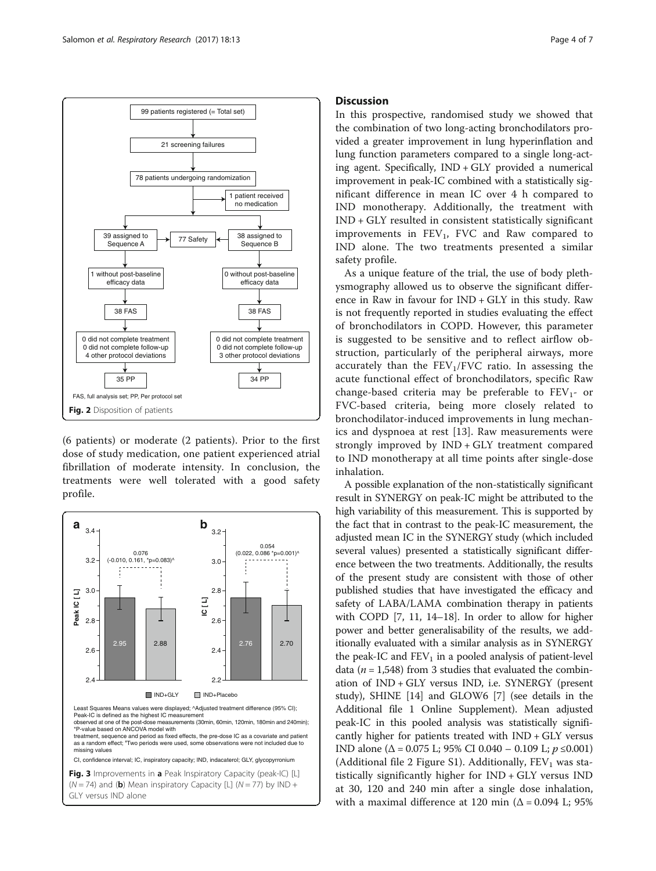<span id="page-3-0"></span>

(6 patients) or moderate (2 patients). Prior to the first dose of study medication, one patient experienced atrial fibrillation of moderate intensity. In conclusion, the treatments were well tolerated with a good safety profile.



## **Discussion**

In this prospective, randomised study we showed that the combination of two long-acting bronchodilators provided a greater improvement in lung hyperinflation and lung function parameters compared to a single long-acting agent. Specifically, IND + GLY provided a numerical improvement in peak-IC combined with a statistically significant difference in mean IC over 4 h compared to IND monotherapy. Additionally, the treatment with IND + GLY resulted in consistent statistically significant improvements in  $FEV_1$ , FVC and Raw compared to IND alone. The two treatments presented a similar safety profile.

As a unique feature of the trial, the use of body plethysmography allowed us to observe the significant difference in Raw in favour for IND + GLY in this study. Raw is not frequently reported in studies evaluating the effect of bronchodilators in COPD. However, this parameter is suggested to be sensitive and to reflect airflow obstruction, particularly of the peripheral airways, more accurately than the  $FEV<sub>1</sub>/FVC$  ratio. In assessing the acute functional effect of bronchodilators, specific Raw change-based criteria may be preferable to  $FEV<sub>1</sub>$ - or FVC-based criteria, being more closely related to bronchodilator-induced improvements in lung mechanics and dyspnoea at rest [\[13](#page-6-0)]. Raw measurements were strongly improved by IND + GLY treatment compared to IND monotherapy at all time points after single-dose inhalation.

A possible explanation of the non-statistically significant result in SYNERGY on peak-IC might be attributed to the high variability of this measurement. This is supported by the fact that in contrast to the peak-IC measurement, the adjusted mean IC in the SYNERGY study (which included several values) presented a statistically significant difference between the two treatments. Additionally, the results of the present study are consistent with those of other published studies that have investigated the efficacy and safety of LABA/LAMA combination therapy in patients with COPD [\[7](#page-6-0), [11, 14](#page-6-0)–[18](#page-6-0)]. In order to allow for higher power and better generalisability of the results, we additionally evaluated with a similar analysis as in SYNERGY the peak-IC and  $FEV<sub>1</sub>$  in a pooled analysis of patient-level data ( $n = 1,548$ ) from 3 studies that evaluated the combination of IND + GLY versus IND, i.e. SYNERGY (present study), SHINE [[14\]](#page-6-0) and GLOW6 [\[7\]](#page-6-0) (see details in the Additional file [1](#page-5-0) Online Supplement). Mean adjusted peak-IC in this pooled analysis was statistically significantly higher for patients treated with IND + GLY versus IND alone ( $\Delta$  = 0.075 L; 95% CI 0.040 – 0.109 L;  $p \le 0.001$ ) (Additional file [2](#page-5-0) Figure S1). Additionally,  $FEV<sub>1</sub>$  was statistically significantly higher for IND + GLY versus IND at 30, 120 and 240 min after a single dose inhalation, with a maximal difference at 120 min ( $\Delta$  = 0.094 L; 95%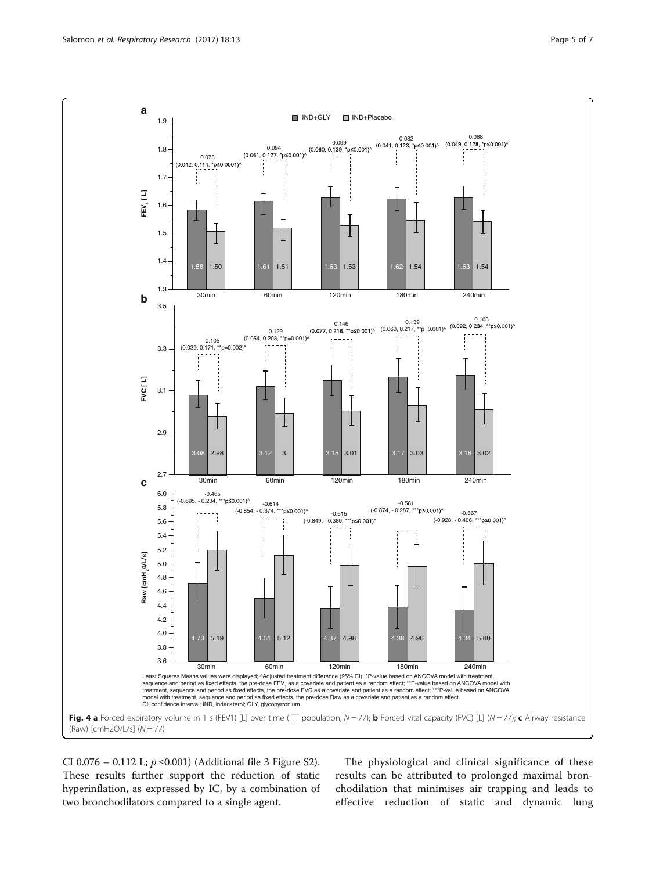<span id="page-4-0"></span>

CI 0.076 − 0.112 L;  $p$  ≤0.001) (Additional file [3](#page-5-0) Figure S2). These results further support the reduction of static hyperinflation, as expressed by IC, by a combination of two bronchodilators compared to a single agent.

The physiological and clinical significance of these results can be attributed to prolonged maximal bronchodilation that minimises air trapping and leads to effective reduction of static and dynamic lung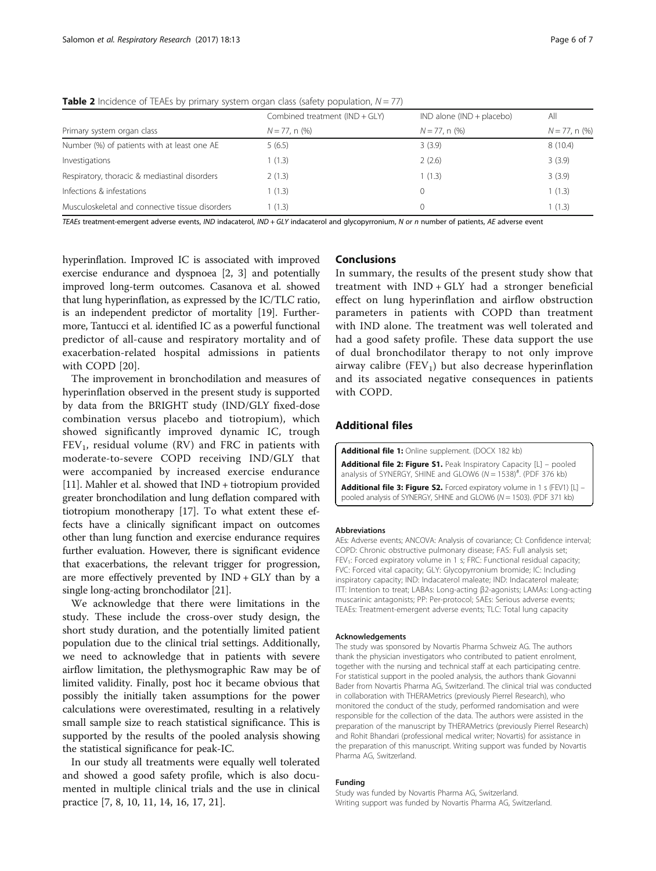|                                                 | Combined treatment $(IND + GLY)$ | $IND$ alone ( $IND + placebo$ ) | All              |
|-------------------------------------------------|----------------------------------|---------------------------------|------------------|
| Primary system organ class                      | $N = 77$ , n $(\%)$              | $N = 77$ , n $(\%)$             | $N = 77$ , n (%) |
| Number (%) of patients with at least one AE     | 5(6.5)                           | 3(3.9)                          | 8(10.4)          |
| Investigations                                  | 1(1.3)                           | 2(2.6)                          | 3(3.9)           |
| Respiratory, thoracic & mediastinal disorders   | 2(1.3)                           | 1(1.3)                          | 3(3.9)           |
| Infections & infestations                       | 1(1.3)                           |                                 | 1(1.3)           |
| Musculoskeletal and connective tissue disorders | 1(1.3)                           |                                 | 1(1.3)           |

<span id="page-5-0"></span>**Table 2** Incidence of TEAEs by primary system organ class (safety population,  $N = 77$ )

TEAEs treatment-emergent adverse events, IND indacaterol, IND + GLY indacaterol and glycopyrronium, N or n number of patients, AE adverse event

hyperinflation. Improved IC is associated with improved exercise endurance and dyspnoea [[2](#page-6-0), [3](#page-6-0)] and potentially improved long-term outcomes. Casanova et al. showed that lung hyperinflation, as expressed by the IC/TLC ratio, is an independent predictor of mortality [\[19\]](#page-6-0). Furthermore, Tantucci et al. identified IC as a powerful functional predictor of all-cause and respiratory mortality and of exacerbation-related hospital admissions in patients with COPD [\[20](#page-6-0)].

The improvement in bronchodilation and measures of hyperinflation observed in the present study is supported by data from the BRIGHT study (IND/GLY fixed-dose combination versus placebo and tiotropium), which showed significantly improved dynamic IC, trough  $FEV<sub>1</sub>$ , residual volume (RV) and FRC in patients with moderate-to-severe COPD receiving IND/GLY that were accompanied by increased exercise endurance [[11](#page-6-0)]. Mahler et al. showed that IND + tiotropium provided greater bronchodilation and lung deflation compared with tiotropium monotherapy [[17](#page-6-0)]. To what extent these effects have a clinically significant impact on outcomes other than lung function and exercise endurance requires further evaluation. However, there is significant evidence that exacerbations, the relevant trigger for progression, are more effectively prevented by  $IND + GLY$  than by a single long-acting bronchodilator [\[21\]](#page-6-0).

We acknowledge that there were limitations in the study. These include the cross-over study design, the short study duration, and the potentially limited patient population due to the clinical trial settings. Additionally, we need to acknowledge that in patients with severe airflow limitation, the plethysmographic Raw may be of limited validity. Finally, post hoc it became obvious that possibly the initially taken assumptions for the power calculations were overestimated, resulting in a relatively small sample size to reach statistical significance. This is supported by the results of the pooled analysis showing the statistical significance for peak-IC.

In our study all treatments were equally well tolerated and showed a good safety profile, which is also documented in multiple clinical trials and the use in clinical practice [[7, 8, 10, 11, 14, 16, 17](#page-6-0), [21](#page-6-0)].

## Conclusions

In summary, the results of the present study show that treatment with  $IND + GLY$  had a stronger beneficial effect on lung hyperinflation and airflow obstruction parameters in patients with COPD than treatment with IND alone. The treatment was well tolerated and had a good safety profile. These data support the use of dual bronchodilator therapy to not only improve airway calibre (FEV<sub>1</sub>) but also decrease hyperinflation and its associated negative consequences in patients with COPD.

## Additional files

[Additional file 1:](dx.doi.org/10.1186/s12931-016-0498-1) Online supplement. (DOCX 182 kb) [Additional file 2: Figure S1.](dx.doi.org/10.1186/s12931-016-0498-1) Peak Inspiratory Capacity [L] - pooled analysis of SYNERGY, SHINE and GLOW6 ( $N = 1538$ )#. (PDF 376 kb) [Additional file 3: Figure S2.](dx.doi.org/10.1186/s12931-016-0498-1) Forced expiratory volume in 1 s (FEV1) [L] pooled analysis of SYNERGY, SHINE and GLOW6 (N = 1503). (PDF 371 kb)

#### Abbreviations

AEs: Adverse events; ANCOVA: Analysis of covariance; CI: Confidence interval; COPD: Chronic obstructive pulmonary disease; FAS: Full analysis set; FEV<sub>1</sub>: Forced expiratory volume in 1 s; FRC: Functional residual capacity; FVC: Forced vital capacity; GLY: Glycopyrronium bromide; IC: Including inspiratory capacity; IND: Indacaterol maleate; IND: Indacaterol maleate; ITT: Intention to treat; LABAs: Long-acting β2-agonists; LAMAs: Long-acting muscarinic antagonists; PP: Per-protocol; SAEs: Serious adverse events; TEAEs: Treatment-emergent adverse events; TLC: Total lung capacity

#### Acknowledgements

The study was sponsored by Novartis Pharma Schweiz AG. The authors thank the physician investigators who contributed to patient enrolment, together with the nursing and technical staff at each participating centre. For statistical support in the pooled analysis, the authors thank Giovanni Bader from Novartis Pharma AG, Switzerland. The clinical trial was conducted in collaboration with THERAMetrics (previously Pierrel Research), who monitored the conduct of the study, performed randomisation and were responsible for the collection of the data. The authors were assisted in the preparation of the manuscript by THERAMetrics (previously Pierrel Research) and Rohit Bhandari (professional medical writer; Novartis) for assistance in the preparation of this manuscript. Writing support was funded by Novartis Pharma AG, Switzerland.

#### Funding

Study was funded by Novartis Pharma AG, Switzerland. Writing support was funded by Novartis Pharma AG, Switzerland.